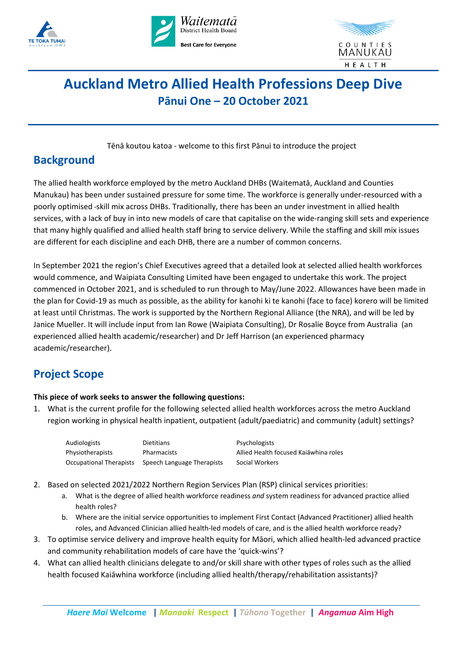





# **Auckland Metro Allied Health Professions Deep Dive Pānui One – 20 October 2021**

Tēnā koutou katoa - welcome to this first Pānui to introduce the project

### **Background**

The allied health workforce employed by the metro Auckland DHBs (Waitematā, Auckland and Counties Manukau) has been under sustained pressure for some time. The workforce is generally under-resourced with a poorly optimised skill mix across DHBs. Traditionally, there has been an under investment in allied health services, with a lack of buy in into new models of care that capitalise on the wide-ranging skill sets and experience that many highly qualified and allied health staff bring to service delivery. While the staffing and skill mix issues are different for each discipline and each DHB, there are a number of common concerns.

In September 2021 the region's Chief Executives agreed that a detailed look at selected allied health workforces would commence, and Waipiata Consulting Limited have been engaged to undertake this work. The project commenced in October 2021, and is scheduled to run through to May/June 2022. Allowances have been made in the plan for Covid-19 as much as possible, as the ability for kanohi ki te kanohi (face to face) korero will be limited at least until Christmas. The work is supported by the Northern Regional Alliance (the NRA), and will be led by Janice Mueller. It will include input from Ian Rowe (Waipiata Consulting), Dr Rosalie Boyce from Australia (an experienced allied health academic/researcher) and Dr Jeff Harrison (an experienced pharmacy academic/researcher).

### **Project Scope**

#### **This piece of work seeks to answer the following questions:**

1. What is the current profile for the following selected allied health workforces across the metro Auckland region working in physical health inpatient, outpatient (adult/paediatric) and community (adult) settings?

| Audiologists            | Dietitians                 | Psychologists                         |
|-------------------------|----------------------------|---------------------------------------|
| Physiotherapists        | Pharmacists                | Allied Health focused Kajāwhina roles |
| Occupational Therapists | Speech Language Therapists | Social Workers                        |

- 2. Based on selected 2021/2022 Northern Region Services Plan (RSP) clinical services priorities:
	- a. What is the degree of allied health workforce readiness *and* system readiness for advanced practice allied health roles?
	- b. Where are the initial service opportunities to implement First Contact (Advanced Practitioner) allied health roles, and Advanced Clinician allied health-led models of care, and is the allied health workforce ready?
- 3. To optimise service delivery and improve health equity for Māori, which allied health-led advanced practice and community rehabilitation models of care have the 'quick-wins'?
- 4. What can allied health clinicians delegate to and/or skill share with other types of roles such as the allied health focused Kaiāwhina workforce (including allied health/therapy/rehabilitation assistants)?